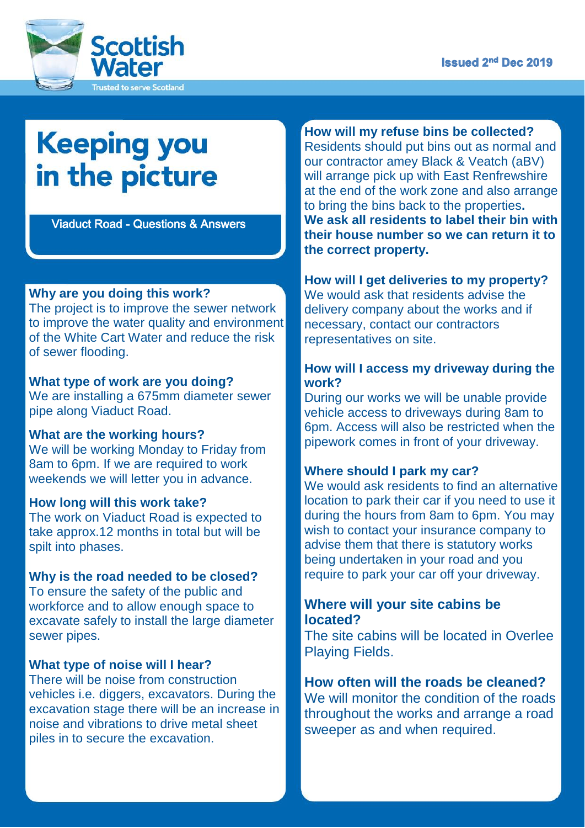

# **Keeping you** in the picture

Viaduct Road - Questions & Answers

#### **Why are you doing this work?**

The project is to improve the sewer network to improve the water quality and environment of the White Cart Water and reduce the risk of sewer flooding.

#### **What type of work are you doing?**

We are installing a 675mm diameter sewer pipe along Viaduct Road.

#### **What are the working hours?**

We will be working Monday to Friday from 8am to 6pm. If we are required to work weekends we will letter you in advance.

#### **How long will this work take?**

The work on Viaduct Road is expected to take approx.12 months in total but will be spilt into phases.

### **Why is the road needed to be closed?**

To ensure the safety of the public and workforce and to allow enough space to excavate safely to install the large diameter sewer pipes.

#### **What type of noise will I hear?**

ś

There will be noise from construction vehicles i.e. diggers, excavators. During the excavation stage there will be an increase in noise and vibrations to drive metal sheet piles in to secure the excavation.

**How will my refuse bins be collected?** Residents should put bins out as normal and our contractor amey Black & Veatch (aBV) will arrange pick up with East Renfrewshire at the end of the work zone and also arrange to bring the bins back to the properties**. We ask all residents to label their bin with their house number so we can return it to the correct property.** 

## **How will I get deliveries to my property?**

We would ask that residents advise the delivery company about the works and if necessary, contact our contractors representatives on site.

#### **How will I access my driveway during the work?**

During our works we will be unable provide vehicle access to driveways during 8am to 6pm. Access will also be restricted when the pipework comes in front of your driveway.

#### **Where should I park my car?**

We would ask residents to find an alternative location to park their car if you need to use it during the hours from 8am to 6pm. You may wish to contact your insurance company to advise them that there is statutory works being undertaken in your road and you require to park your car off your driveway.

#### **Where will your site cabins be located?**

The site cabins will be located in Overlee Playing Fields.

# **How often will the roads be cleaned?**

We will monitor the condition of the roads throughout the works and arrange a road sweeper as and when required.